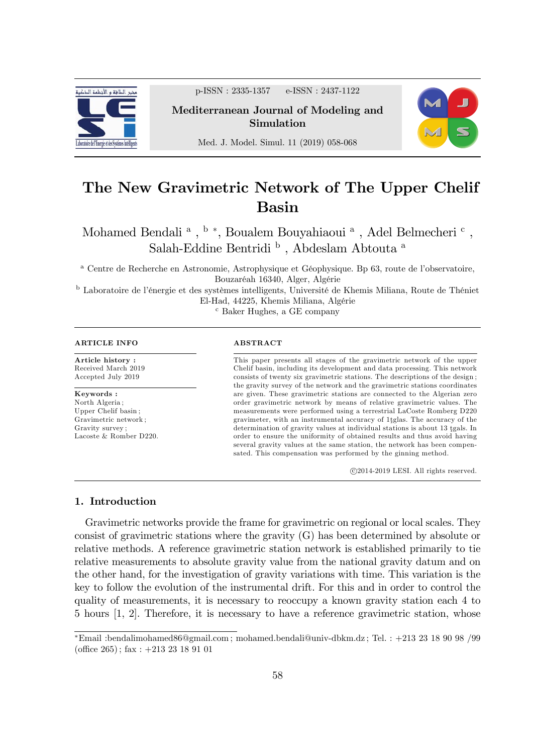

p-ISSN : 2335-1357 e-ISSN : 2437-1122

Mediterranean Journal of Modeling and Simulation



Med. J. Model. Simul. 11 (2019) 058-068

# The New Gravimetric Network of The Upper Chelif Basin

Mohamed Bendali $\mathrm{^a}$  ,  $\mathrm{^b}$  \*, Boualem Bouyahiaoui  $\mathrm{^a}$  , Adel Belmecheri  $\mathrm{^c}$  , Salah-Eddine Bentridi $^{\rm b}$ , Abdeslam Abtouta $^{\rm a}$ 

<sup>a</sup> Centre de Recherche en Astronomie, Astrophysique et Géophysique. Bp 63, route de l'observatoire, Bouzaréah 16340, Alger, Algérie

<sup>b</sup> Laboratoire de l'énergie et des systèmes intelligents, Université de Khemis Miliana, Route de Théniet El-Had, 44225, Khemis Miliana, Algérie

<sup>c</sup> Baker Hughes, a GE company

#### ARTICLE INFO

Article history : Received March 2019 Accepted July 2019

Keywords : North Algeria ; Upper Chelif basin ; Gravimetric network ; Gravity survey ; Lacoste & Romber D220.

#### ABSTRACT

This paper presents all stages of the gravimetric network of the upper Chelif basin, including its development and data processing. This network consists of twenty six gravimetric stations. The descriptions of the design ; the gravity survey of the network and the gravimetric stations coordinates are given. These gravimetric stations are connected to the Algerian zero order gravimetric network by means of relative gravimetric values. The measurements were performed using a terrestrial LaCoste Romberg D220 gravimeter, with an instrumental accuracy of 1<sup>tglas</sup>. The accuracy of the  $d$  determination of gravity values at individual stations is about 13 tgals. In order to ensure the uniformity of obtained results and thus avoid having several gravity values at the same station, the network has been compensated. This compensation was performed by the ginning method.

c 2014-2019 LESI. All rights reserved.

#### 1. Introduction

Gravimetric networks provide the frame for gravimetric on regional or local scales. They consist of gravimetric stations where the gravity (G) has been determined by absolute or relative methods. A reference gravimetric station network is established primarily to tie relative measurements to absolute gravity value from the national gravity datum and on the other hand, for the investigation of gravity variations with time. This variation is the key to follow the evolution of the instrumental drift. For this and in order to control the quality of measurements, it is necessary to reoccupy a known gravity station each 4 to 5 hours [1, 2]. Therefore, it is necessary to have a reference gravimetric station, whose

 $E$ mail :bendalimohamed $86@$ gmail.com ; mohamed.bendali@univ-dbkm.dz ; Tel. : +213 23 18 90 98 /99 (office  $265$ ); fax:  $+213$  23 18 91 01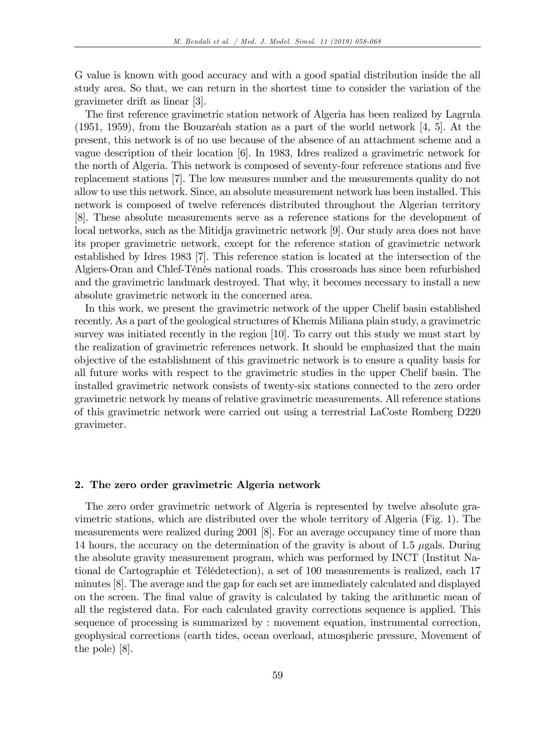G value is known with good accuracy and with a good spatial distribution inside the all study area. So that, we can return in the shortest time to consider the variation of the gravimeter drift as linear [3].

The first reference gravimetric station network of Algeria has been realized by Lagrula (1951, 1959), from the Bouzaréah station as a part of the world network  $[4, 5]$ . At the present, this network is of no use because of the absence of an attachment scheme and a vague description of their location [6]. In 1983, Idres realized a gravimetric network for the north of Algeria. This network is composed of seventy-four reference stations and five replacement stations [7]. The low measures number and the measurements quality do not allow to use this network. Since, an absolute measurement network has been installed. This network is composed of twelve references distributed throughout the Algerian territory [8]. These absolute measurements serve as a reference stations for the development of local networks, such as the Mitidja gravimetric network [9]. Our study area does not have its proper gravimetric network, except for the reference station of gravimetric network established by Idres 1983 [7]. This reference station is located at the intersection of the Algiers-Oran and Chlef-TÈnËs national roads. This crossroads has since been refurbished and the gravimetric landmark destroyed. That why, it becomes necessary to install a new absolute gravimetric network in the concerned area.

In this work, we present the gravimetric network of the upper Chelif basin established recently. As a part of the geological structures of Khemis Miliana plain study, a gravimetric survey was initiated recently in the region [10]. To carry out this study we must start by the realization of gravimetric references network. It should be emphasized that the main objective of the establishment of this gravimetric network is to ensure a quality basis for all future works with respect to the gravimetric studies in the upper Chelif basin. The installed gravimetric network consists of twenty-six stations connected to the zero order gravimetric network by means of relative gravimetric measurements. All reference stations of this gravimetric network were carried out using a terrestrial LaCoste Romberg D220 gravimeter.

#### 2. The zero order gravimetric Algeria network

The zero order gravimetric network of Algeria is represented by twelve absolute gravimetric stations, which are distributed over the whole territory of Algeria (Fig. 1). The measurements were realized during 2001 [8]. For an average occupancy time of more than 14 hours, the accuracy on the determination of the gravity is about of 1.5  $\mu$ gals. During the absolute gravity measurement program, which was performed by INCT (Institut National de Cartographie et TÈlÈdetection), a set of 100 measurements is realized, each 17 minutes [8]. The average and the gap for each set are immediately calculated and displayed on the screen. The final value of gravity is calculated by taking the arithmetic mean of all the registered data. For each calculated gravity corrections sequence is applied. This sequence of processing is summarized by : movement equation, instrumental correction, geophysical corrections (earth tides, ocean overload, atmospheric pressure, Movement of the pole) [8].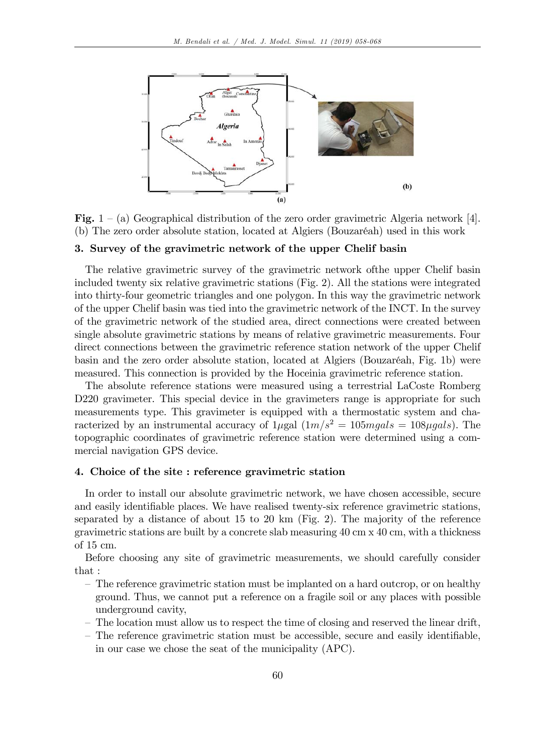

Fig. 1 – (a) Geographical distribution of the zero order gravimetric Algeria network [4]. (b) The zero order absolute station, located at Algiers (Bouzaréah) used in this work

#### 3. Survey of the gravimetric network of the upper Chelif basin

The relative gravimetric survey of the gravimetric network ofthe upper Chelif basin included twenty six relative gravimetric stations (Fig. 2). All the stations were integrated into thirty-four geometric triangles and one polygon. In this way the gravimetric network of the upper Chelif basin was tied into the gravimetric network of the INCT. In the survey of the gravimetric network of the studied area, direct connections were created between single absolute gravimetric stations by means of relative gravimetric measurements. Four direct connections between the gravimetric reference station network of the upper Chelif basin and the zero order absolute station, located at Algiers (Bouzaréah, Fig. 1b) were measured. This connection is provided by the Hoceinia gravimetric reference station.

The absolute reference stations were measured using a terrestrial LaCoste Romberg D220 gravimeter. This special device in the gravimeters range is appropriate for such measurements type. This gravimeter is equipped with a thermostatic system and characterized by an instrumental accuracy of  $1\mu gal (1m/s^2 = 105mgals = 108\mu gal s)$ . The topographic coordinates of gravimetric reference station were determined using a commercial navigation GPS device.

### 4. Choice of the site : reference gravimetric station

In order to install our absolute gravimetric network, we have chosen accessible, secure and easily identifiable places. We have realised twenty-six reference gravimetric stations, separated by a distance of about 15 to 20 km (Fig. 2). The majority of the reference gravimetric stations are built by a concrete slab measuring 40 cm x 40 cm, with a thickness of 15 cm.

Before choosing any site of gravimetric measurements, we should carefully consider that :

- The reference gravimetric station must be implanted on a hard outcrop, or on healthy ground. Thus, we cannot put a reference on a fragile soil or any places with possible underground cavity,
- $\overline{\phantom{a}}$  The location must allow us to respect the time of closing and reserved the linear drift,
- The reference gravimetric station must be accessible, secure and easily identifiable, in our case we chose the seat of the municipality (APC).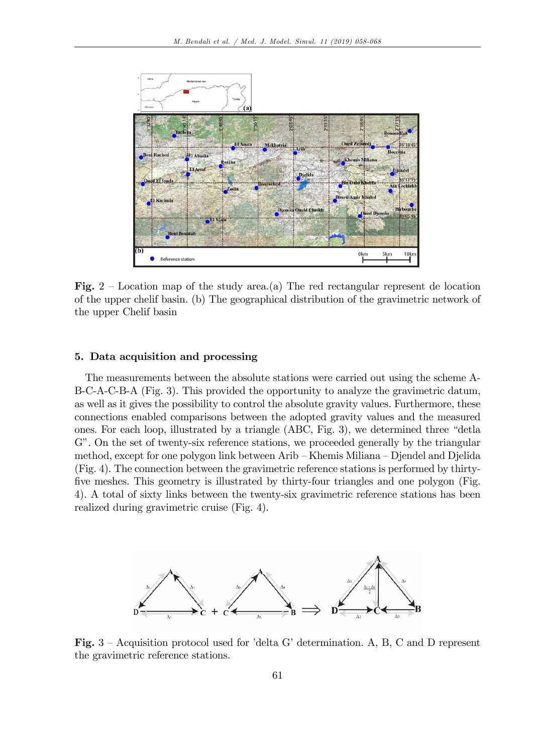

Fig.  $2$  – Location map of the study area.(a) The red rectangular represent de location of the upper chelif basin. (b) The geographical distribution of the gravimetric network of the upper Chelif basin

#### 5. Data acquisition and processing

The measurements between the absolute stations were carried out using the scheme A-B-C-A-C-B-A (Fig. 3). This provided the opportunity to analyze the gravimetric datum, as well as it gives the possibility to control the absolute gravity values. Furthermore, these connections enabled comparisons between the adopted gravity values and the measured ones. For each loop, illustrated by a triangle  $(ABC, Fig. 3)$ , we determined three "detla G". On the set of twenty-six reference stations, we proceeded generally by the triangular method, except for one polygon link between Arib – Khemis Miliana – Djendel and Djelida (Fig. 4). The connection between the gravimetric reference stations is performed by thirtyfive meshes. This geometry is illustrated by thirty-four triangles and one polygon (Fig. 4). A total of sixty links between the twenty-six gravimetric reference stations has been realized during gravimetric cruise (Fig. 4).



Fig.  $3$  – Acquisition protocol used for 'delta G' determination. A, B, C and D represent the gravimetric reference stations.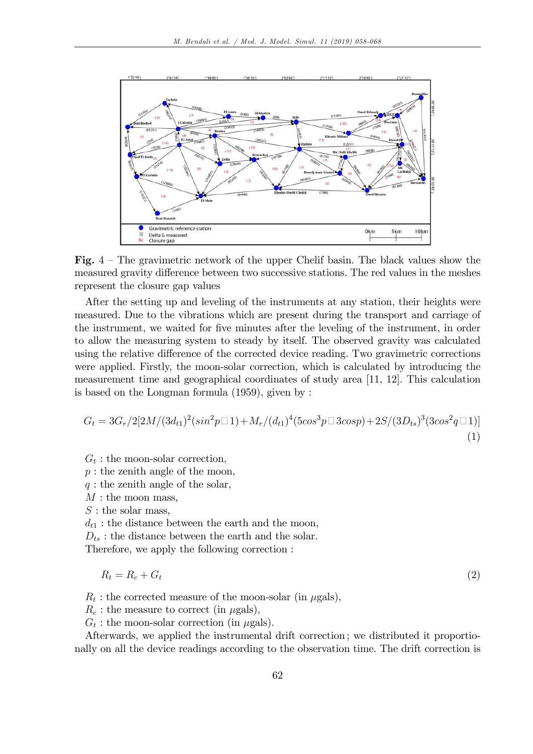

Fig.  $4$  – The gravimetric network of the upper Chelif basin. The black values show the measured gravity difference between two successive stations. The red values in the meshes represent the closure gap values

After the setting up and leveling of the instruments at any station, their heights were measured. Due to the vibrations which are present during the transport and carriage of the instrument, we waited for five minutes after the leveling of the instrument, in order to allow the measuring system to steady by itself. The observed gravity was calculated using the relative difference of the corrected device reading. Two gravimetric corrections were applied. Firstly, the moon-solar correction, which is calculated by introducing the measurement time and geographical coordinates of study area [11, 12]. This calculation is based on the Longman formula (1959), given by :

$$
G_t = 3G_r/2[2M/(3d_{t1})^2(\sin^2 p \Box 1) + M_r/(d_{t1})^4(5\cos^3 p \Box 3\cos p) + 2S/(3D_{ts})^3(3\cos^2 q \Box 1)]
$$
\n(1)

 $G_t$ : the moon-solar correction,

 $p:$  the zenith angle of the moon,

 $q:$  the zenith angle of the solar,

 $M:$  the moon mass,

 $S:$  the solar mass,

 $d_{t1}$ : the distance between the earth and the moon,

 $D_{ts}$ : the distance between the earth and the solar.

Therefore, we apply the following correction :

$$
R_t = R_c + G_t \tag{2}
$$

 $R_t$ : the corrected measure of the moon-solar (in  $\mu$ gals),

 $R_c$ : the measure to correct (in  $\mu$ gals),

 $G_t$ : the moon-solar correction (in  $\mu$ gals).

Afterwards, we applied the instrumental drift correction ; we distributed it proportionally on all the device readings according to the observation time. The drift correction is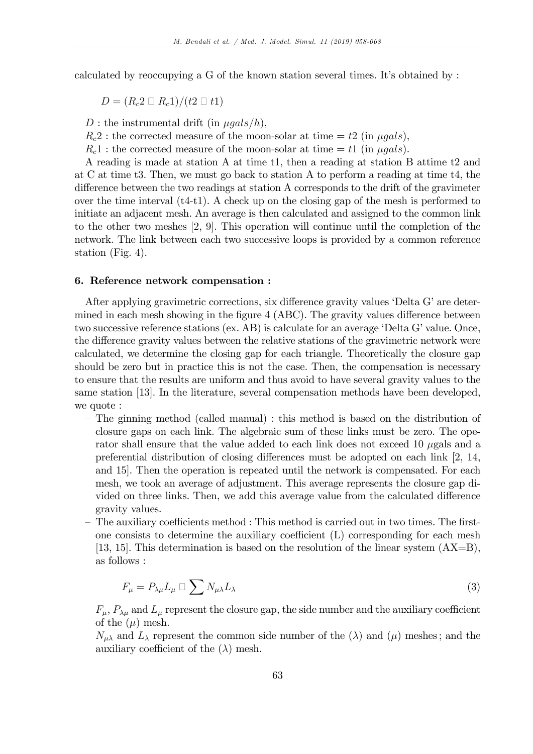calculated by reoccupying a G of the known station several times. Itís obtained by :

$$
D=(R_c 2 \square R_c 1)/(t 2 \square t 1)
$$

D : the instrumental drift (in  $\mu gals/h$ ),

 $R_c2$ : the corrected measure of the moon-solar at time  $= t2$  (in  $\mu gals$ ),

 $R_c 1$ : the corrected measure of the moon-solar at time  $= t1$  (in  $\mu gals$ ).

A reading is made at station A at time t1, then a reading at station B attime t2 and at C at time t3. Then, we must go back to station A to perform a reading at time t4, the difference between the two readings at station A corresponds to the drift of the gravimeter over the time interval  $(t4-t1)$ . A check up on the closing gap of the mesh is performed to initiate an adjacent mesh. An average is then calculated and assigned to the common link to the other two meshes [2, 9]. This operation will continue until the completion of the network. The link between each two successive loops is provided by a common reference station (Fig. 4).

#### 6. Reference network compensation :

After applying gravimetric corrections, six difference gravity values 'Delta G' are determined in each mesh showing in the figure  $4$  (ABC). The gravity values difference between two successive reference stations (ex. AB) is calculate for an average 'Delta G' value. Once, the difference gravity values between the relative stations of the gravimetric network were calculated, we determine the closing gap for each triangle. Theoretically the closure gap should be zero but in practice this is not the case. Then, the compensation is necessary to ensure that the results are uniform and thus avoid to have several gravity values to the same station [13]. In the literature, several compensation methods have been developed, we quote :

- The ginning method (called manual) : this method is based on the distribution of closure gaps on each link. The algebraic sum of these links must be zero. The operator shall ensure that the value added to each link does not exceed 10  $\mu$ gals and a preferential distribution of closing differences must be adopted on each link  $[2, 14, ]$ and 15]. Then the operation is repeated until the network is compensated. For each mesh, we took an average of adjustment. This average represents the closure gap divided on three links. Then, we add this average value from the calculated difference gravity values.
- The auxiliary coefficients method : This method is carried out in two times. The firstone consists to determine the auxiliary coefficient  $(L)$  corresponding for each mesh [13, 15]. This determination is based on the resolution of the linear system (AX=B), as follows :

$$
F_{\mu} = P_{\lambda\mu} L_{\mu} \sqcup \sum N_{\mu\lambda} L_{\lambda} \tag{3}
$$

 $F_{\mu}$ ,  $P_{\lambda\mu}$  and  $L_{\mu}$  represent the closure gap, the side number and the auxiliary coefficient of the  $(\mu)$  mesh.

 $N_{\mu\lambda}$  and  $L_{\lambda}$  represent the common side number of the ( $\lambda$ ) and ( $\mu$ ) meshes; and the auxiliary coefficient of the  $(\lambda)$  mesh.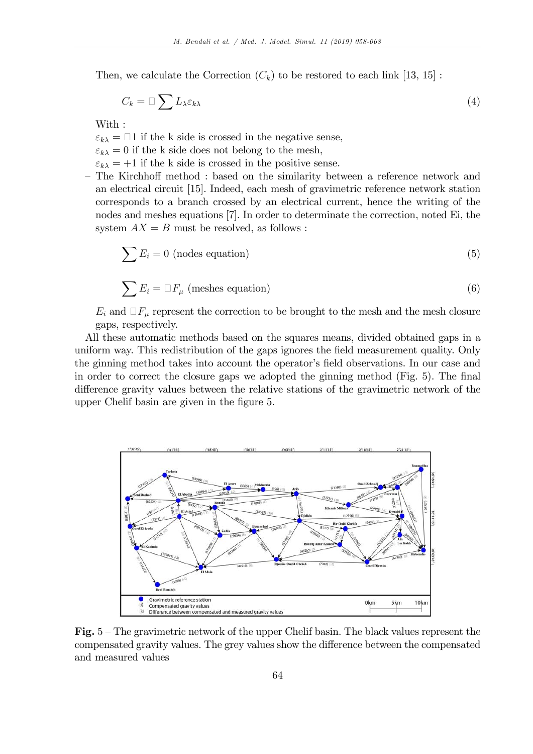Then, we calculate the Correction  $(C_k)$  to be restored to each link [13, 15]:

$$
C_k = \Box \sum L_{\lambda} \varepsilon_{k\lambda} \tag{4}
$$

With :

- $\varepsilon_{k\lambda} = \Box 1$  if the k side is crossed in the negative sense,
- $\varepsilon_{k\lambda} = 0$  if the k side does not belong to the mesh,
- $\varepsilon_{k\lambda} = +1$  if the k side is crossed in the positive sense.
- The Kirchhoff method : based on the similarity between a reference network and an electrical circuit [15]. Indeed, each mesh of gravimetric reference network station corresponds to a branch crossed by an electrical current, hence the writing of the nodes and meshes equations [7]. In order to determinate the correction, noted Ei, the system  $AX = B$  must be resolved, as follows:

$$
\sum E_i = 0 \text{ (nodes equation)}\tag{5}
$$

$$
\sum E_i = \Box F_\mu \text{ (meshes equation)}
$$
 (6)

 $E_i$  and  $\Box F_\mu$  represent the correction to be brought to the mesh and the mesh closure gaps, respectively.

All these automatic methods based on the squares means, divided obtained gaps in a uniform way. This redistribution of the gaps ignores the field measurement quality. Only the ginning method takes into account the operator's field observations. In our case and in order to correct the closure gaps we adopted the ginning method (Fig. 5). The final difference gravity values between the relative stations of the gravimetric network of the upper Chelif basin are given in the figure 5.



Fig.  $5$  – The gravimetric network of the upper Chelif basin. The black values represent the compensated gravity values. The grey values show the difference between the compensated and measured values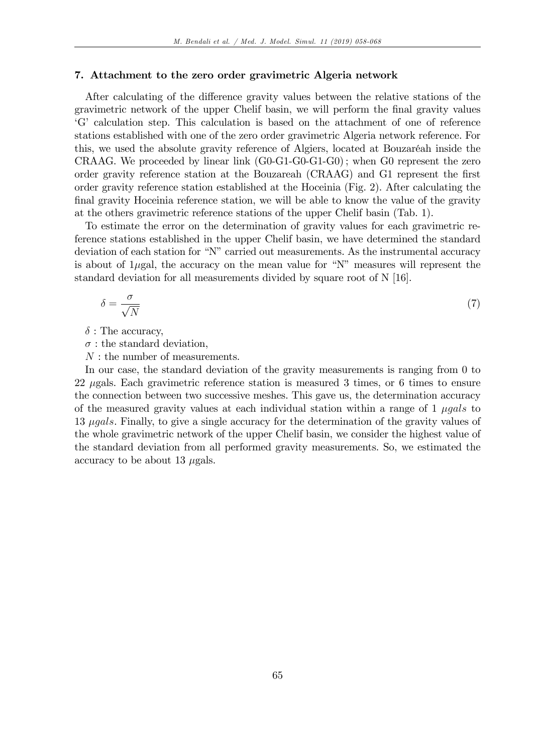#### 7. Attachment to the zero order gravimetric Algeria network

After calculating of the difference gravity values between the relative stations of the gravimetric network of the upper Chelif basin, we will perform the Önal gravity values ëGí calculation step. This calculation is based on the attachment of one of reference stations established with one of the zero order gravimetric Algeria network reference. For this, we used the absolute gravity reference of Algiers, located at Bouzaréah inside the CRAAG. We proceeded by linear link  $(G0-G1-G0-G1-G0)$ ; when G0 represent the zero order gravity reference station at the Bouzareah (CRAAG) and G1 represent the first order gravity reference station established at the Hoceinia (Fig. 2). After calculating the final gravity Hoceinia reference station, we will be able to know the value of the gravity at the others gravimetric reference stations of the upper Chelif basin (Tab. 1).

To estimate the error on the determination of gravity values for each gravimetric reference stations established in the upper Chelif basin, we have determined the standard deviation of each station for "N" carried out measurements. As the instrumental accuracy is about of 1 $\mu$ gal, the accuracy on the mean value for "N" measures will represent the standard deviation for all measurements divided by square root of N [16].

$$
\delta = \frac{\sigma}{\sqrt{N}}\tag{7}
$$

 $\delta$ : The accuracy,

 $\sigma$ : the standard deviation,

: the number of measurements.

In our case, the standard deviation of the gravity measurements is ranging from 0 to 22 *g* gals. Each gravimetric reference station is measured 3 times, or 6 times to ensure the connection between two successive meshes. This gave us, the determination accuracy of the measured gravity values at each individual station within a range of  $1 \mu gals$  to 13 *gals*. Finally, to give a single accuracy for the determination of the gravity values of the whole gravimetric network of the upper Chelif basin, we consider the highest value of the standard deviation from all performed gravity measurements. So, we estimated the accuracy to be about 13  $\mu$ gals.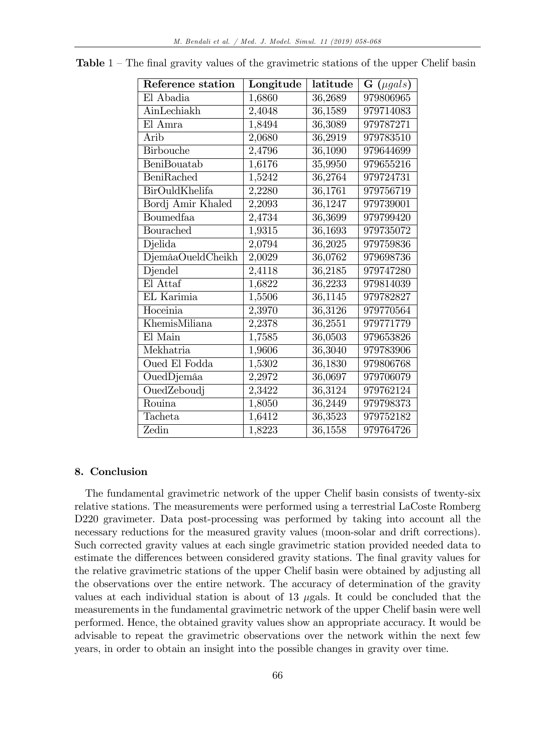| Reference station  | Longitude | latitude             | $\mathbf{G}$ (µgals) |
|--------------------|-----------|----------------------|----------------------|
| El Abadia          | 1,6860    | 36,2689              | 979806965            |
| AinLechiakh        | 2,4048    | 36,1589              | 979714083            |
| El Amra            | 1,8494    | 36,3089              | 979787271            |
| Arib               | 2,0680    | 36,2919              | 979783510            |
| <b>Birbouche</b>   | 2,4796    | 36,1090              | 979644699            |
| <b>BeniBouatab</b> | 1,6176    | 35,9950              | 979655216            |
| BeniRached         | 1,5242    | 36,2764              | 979724731            |
| BirOuldKhelifa     | 2,2280    | 36,1761              | 979756719            |
| Bordj Amir Khaled  | 2,2093    | 36,1247              | 979739001            |
| Boumedfaa          | 2,4734    | 36,3699              | 979799420            |
| Bourached          | 1,9315    | 36,1693              | 979735072            |
| Djelida            | 2,0794    | 36,2025              | 979759836            |
| DjemâaOueldCheikh  | 2,0029    | 36,0762              | 979698736            |
| Djendel            | 2,4118    | 36,2185              | 979747280            |
| El Attaf           | 1,6822    | 36,2233              | 979814039            |
| EL Karimia         | 1,5506    | 36,1145              | 979782827            |
| Hoceinia           | 2,3970    | 36,3126              | 979770564            |
| KhemisMiliana      | 2,2378    | 36,2551              | 979771779            |
| El Main            | 1,7585    | 36,0503              | 979653826            |
| Mekhatria          | 1,9606    | 36,3040              | 979783906            |
| Oued El Fodda      | 1,5302    | 36,1830              | 979806768            |
| OuedDjemâa         | 2,2972    | 36,0697              | 979706079            |
| OuedZeboudj        | 2,3422    | $\overline{36,}3124$ | 979762124            |
| Rouina             | 1,8050    | 36,2449              | 979798373            |
| Tacheta            | 1,6412    | 36,3523              | 979752182            |
| Zedin              | 1,8223    | 36,1558              | 979764726            |

**Table**  $1$  – The final gravity values of the gravimetric stations of the upper Chelif basin

### 8. Conclusion

The fundamental gravimetric network of the upper Chelif basin consists of twenty-six relative stations. The measurements were performed using a terrestrial LaCoste Romberg D220 gravimeter. Data post-processing was performed by taking into account all the necessary reductions for the measured gravity values (moon-solar and drift corrections). Such corrected gravity values at each single gravimetric station provided needed data to estimate the differences between considered gravity stations. The final gravity values for the relative gravimetric stations of the upper Chelif basin were obtained by adjusting all the observations over the entire network. The accuracy of determination of the gravity values at each individual station is about of 13  $\mu$ gals. It could be concluded that the measurements in the fundamental gravimetric network of the upper Chelif basin were well performed. Hence, the obtained gravity values show an appropriate accuracy. It would be advisable to repeat the gravimetric observations over the network within the next few years, in order to obtain an insight into the possible changes in gravity over time.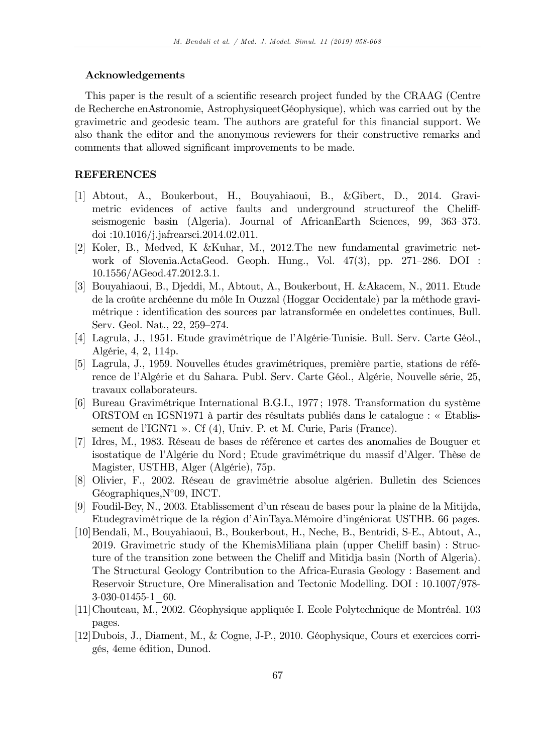#### Acknowledgements

This paper is the result of a scientific research project funded by the CRAAG (Centre de Recherche enAstronomie, AstrophysiqueetGéophysique), which was carried out by the gravimetric and geodesic team. The authors are grateful for this Önancial support. We also thank the editor and the anonymous reviewers for their constructive remarks and comments that allowed significant improvements to be made.

## REFERENCES

- [1] Abtout, A., Boukerbout, H., Bouyahiaoui, B., &Gibert, D., 2014. Gravimetric evidences of active faults and underground structure of the Cheliffseismogenic basin (Algeria). Journal of AfricanEarth Sciences, 99, 363–373. doi :10.1016/j.jafrearsci.2014.02.011.
- [2] Koler, B., Medved, K &Kuhar, M., 2012.The new fundamental gravimetric network of Slovenia.ActaGeod. Geoph. Hung., Vol.  $47(3)$ , pp.  $271-286$ . DOI : 10.1556/AGeod.47.2012.3.1.
- [3] Bouyahiaoui, B., Djeddi, M., Abtout, A., Boukerbout, H. &Akacem, N., 2011. Etude de la croûte archéenne du môle In Ouzzal (Hoggar Occidentale) par la méthode gravimétrique : identification des sources par latransformée en ondelettes continues, Bull. Serv. Geol. Nat., 22, 259-274.
- [4] Lagrula, J., 1951. Etude gravimétrique de l'Algérie-Tunisie. Bull. Serv. Carte Géol., AlgÈrie, 4, 2, 114p.
- [5] Lagrula, J., 1959. Nouvelles études gravimétriques, première partie, stations de référence de l'Algérie et du Sahara. Publ. Serv. Carte Géol., Algérie, Nouvelle série, 25, travaux collaborateurs.
- [6] Bureau Gravimétrique International B.G.I., 1977; 1978. Transformation du système ORSTOM en IGSN1971 à partir des résultats publiés dans le catalogue : « Etablissement de l'IGN71 ». Cf  $(4)$ , Univ. P. et M. Curie, Paris (France).
- [7] Idres, M., 1983. Réseau de bases de référence et cartes des anomalies de Bouguer et isostatique de l'Algérie du Nord; Etude gravimétrique du massif d'Alger. Thèse de Magister, USTHB, Alger (Algérie), 75p.
- [8] Olivier, F., 2002. Réseau de gravimétrie absolue algérien. Bulletin des Sciences  $Géographic, N°09, INCT.$
- [9] Foudil-Bey, N., 2003. Etablissement d'un réseau de bases pour la plaine de la Mitijda, Etudegravimétrique de la région d'AinTaya.Mémoire d'ingéniorat USTHB. 66 pages.
- [10]Bendali, M., Bouyahiaoui, B., Boukerbout, H., Neche, B., Bentridi, S-E., Abtout, A., 2019. Gravimetric study of the KhemisMiliana plain (upper Cheliff basin) : Structure of the transition zone between the Cheliff and Mitidja basin (North of Algeria). The Structural Geology Contribution to the Africa-Eurasia Geology : Basement and Reservoir Structure, Ore Mineralisation and Tectonic Modelling. DOI : 10.1007/978- 3-030-01455-1\_60.
- [11] Chouteau, M., 2002. Géophysique appliquée I. Ecole Polytechnique de Montréal. 103 pages.
- [12]Dubois, J., Diament, M., & Cogne, J-P., 2010. GÈophysique, Cours et exercices corrigÈs, 4eme Èdition, Dunod.